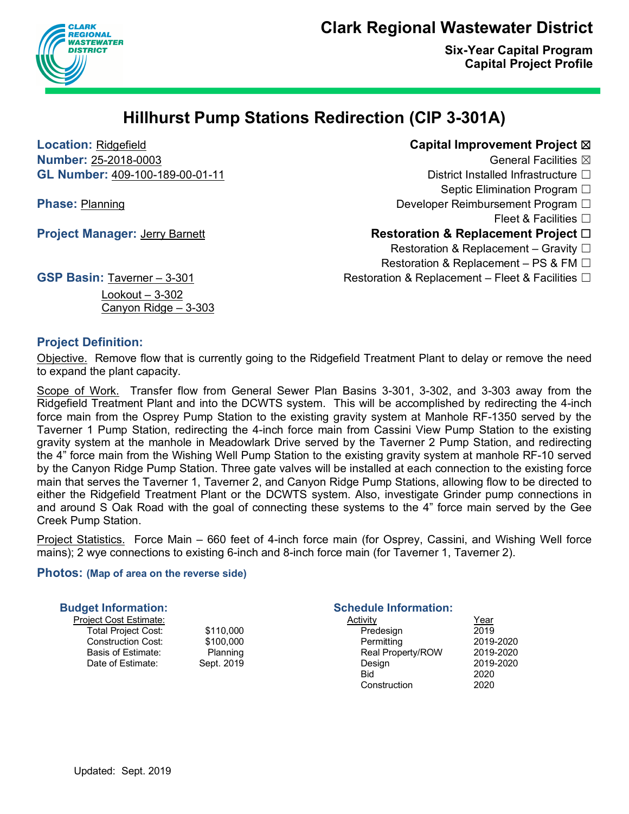### **Clark Regional Wastewater District**



**Six-Year Capital Program Capital Project Profile**

## **Hillhurst Pump Stations Redirection (CIP 3-301A)**

**Location:** Ridgefield **Capital Improvement Project** ☒

**Number: 25-2018-0003** General Facilities ⊠ **GL Number:** 409-100-189-00-01-11 District Installed Infrastructure □ Septic Elimination Program □ **Phase:** Planning Developer Reimbursement Program □ Fleet & Facilities  $\Box$ **Project Manager:** Jerry Barnett **Restoration & Replacement Project □** Restoration & Replacement – Gravity  $\Box$ Restoration & Replacement – PS & FM  $\Box$ 

GSP Basin: Taverner – 3-301 **Restoration & Replacement – Fleet & Facilities** □

Lookout – 3-302 Canyon Ridge – 3-303

#### **Project Definition:**

Objective. Remove flow that is currently going to the Ridgefield Treatment Plant to delay or remove the need to expand the plant capacity.

Scope of Work. Transfer flow from General Sewer Plan Basins 3-301, 3-302, and 3-303 away from the Ridgefield Treatment Plant and into the DCWTS system. This will be accomplished by redirecting the 4-inch force main from the Osprey Pump Station to the existing gravity system at Manhole RF-1350 served by the Taverner 1 Pump Station, redirecting the 4-inch force main from Cassini View Pump Station to the existing gravity system at the manhole in Meadowlark Drive served by the Taverner 2 Pump Station, and redirecting the 4" force main from the Wishing Well Pump Station to the existing gravity system at manhole RF-10 served by the Canyon Ridge Pump Station. Three gate valves will be installed at each connection to the existing force main that serves the Taverner 1, Taverner 2, and Canyon Ridge Pump Stations, allowing flow to be directed to either the Ridgefield Treatment Plant or the DCWTS system. Also, investigate Grinder pump connections in and around S Oak Road with the goal of connecting these systems to the 4" force main served by the Gee Creek Pump Station.

Project Statistics. Force Main – 660 feet of 4-inch force main (for Osprey, Cassini, and Wishing Well force mains); 2 wye connections to existing 6-inch and 8-inch force main (for Taverner 1, Taverner 2).

#### **Photos: (Map of area on the reverse side)**

| <b>Budget Information:</b> |            | <b>Schedule Information:</b> |             |
|----------------------------|------------|------------------------------|-------------|
| Project Cost Estimate:     |            | Activity                     | <u>Year</u> |
| Total Project Cost:        | \$110,000  | Predesign                    | 2019        |
| <b>Construction Cost:</b>  | \$100,000  | Permitting                   | 2019-2020   |
| Basis of Estimate:         | Planning   | <b>Real Property/ROW</b>     | 2019-2020   |
| Date of Estimate:          | Sept. 2019 | Design                       | 2019-2020   |
|                            |            | Bid                          | 2020        |
|                            |            | Construction                 | 2020        |